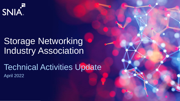

# Storage Networking Industry Association

Technical Activities Update April 2022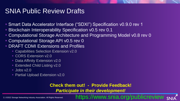## SNIA Public Review Drafts

- Smart Data Accelerator Interface ("SDXI") Specification v0.9.0 rev 1
- Blockchain Interoperability Specification v0.5 rev 0.1
- Computational Storage Architecture and Programming Model v0.8 rev 0
- Computational Storage API v0.5 rev 0
- **DRAFT CDMI Extensions and Profiles** 
	- Capabilities Selection Extension v2.0
	- CORS Extension v2.0
	- **Data Affinity Extension v2.0**
	- **Extended Child Listing v2.0**
	- $\blacksquare$  Jobs v2.0
	- **Partial Upload Extension v2.0**

### **Check them out! - Provide Feedback!**

*Participate in their development!*

/www.snia.org/publicreview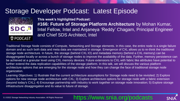### Storage Developer Podcast: Latest Episode



**This week's highlighted Podcast: #166: Future of Storage Platform Architecture** by Mohan Kumar, Intel Fellow, Intel and Anjaneya 'Reddy' Chagam, Principal Engineer and Chief SDS Architect, Intel

Traditional Storage Node consists of Compute, Networking and Storage elements. In this case, the entire node is a single failure domain and as such both data and meta data are maintained in storage. Emergence of CXL allows us to re-think the traditional storage node architecture. In future, the storage (behind CXL IO) and metadata memory (behind a CXL memory) can be disaggregated locally or across a bunch of storage nodes to improve the availability of the data. Further, memory persistence can be achieved at a granular level using CXL memory devices. Future extensions to CXL with fabric like attributes have potential to further extend the data replication capabilities of the storage platform. In this talk, we will discuss the various platform architecture options that are emerging for the storage node and how they can change the face of traditional storage node organization.

Learning Objectives: 1) Illustrate that the current architecture assumptions for Storage node need to be revisited; 2) Explore options for new storage node architecture with CXL; 3) Explore architecture options for storage node with a fabric extension (beyond today's CXL); 4) Encourage partnership with industry to work together on storage node innovation; 5) Explore storage infrastructure disaggregation and its value to future of storage.

#### 3 | ©2022 Storage Networking Industry Association. All Rights Reserved.

### https://www.snia.org/podcasts

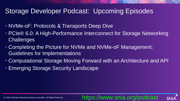### Storage Developer Podcast: Upcoming Episodes

- **NVMe-oF: Protocols & Transports Deep Dive**
- PCIe® 6.0: A High-Performance Interconnect for Storage Networking **Challenges**
- Completing the Picture for NVMe and NVMe-oF Management: Guidelines for Implementations
- **Computational Storage Moving Forward with an Architecture and API**

https://www.snia.org/podcast

**Emerging Storage Security Landscape**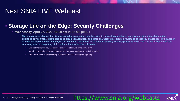## Next SNIA LIVE Webcast

### ▪ **Storage Life on the Edge: Security Challenges**

#### ▪ **Wednesday, April 27, 2022. 10:00 am PT / 1:00 pm ET**

- **The complex and changeable structure of edge computing, together with its network connections, massive real-time data, challenging operating environment, distributed edge cloud collaboration, and other characteristics, create a multitude of security challenges. This panel of experts will explore these challenges and wade into the debate as to whether existing security practices and standards are adequate for this emerging area of computing. Join us for a discussion that will cover:**
	- Understanding the key security issues associated with edge computing
	- **Identify potentially relevant standards and industry guidance (e.g., IoT security)**
	- **Offer awareness of new security initiatives focused on edge computing**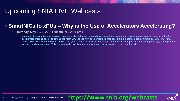## Upcoming SNIA LIVE Webcasts

### ▪ **SmartNICs to xPUs – Why is the Use of Accelerators Accelerating?**

#### ▪ **Thursday, May 19, 2022. 11:00 am PT / 2:00 pm ET**

As applications continue to increase in complexity and users demand more from their workloads, there is a trend to again deploy dedicated **accelerator chips to assist or offload the main CPU. These new accelerators (xPUs) have multiple names such as SmartNIC, DPU, IPU, APU, NAPU. How are these different than GPU, TPU, CPU? xPUs accelerate and offload functions including math, networking, storage, cryptography, security, and management. This webcast will cover key topics about, and clarify questions surrounding, xPUs.**

**https://www.snia.org/webcasts**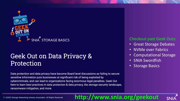

## **Geek Out on Data Privacy &** Protection

Data protection and data privacy have become Board level discussions as failing to secure sensitive information puts businesses at significant risk of being exploited by cybercriminals, and can lead to organizations facing enormous legal penalties. Geek Out here to learn best practices in data protection & data privacy, the storage security landscape, ransomware mitigation, and more.

#### Checkout past Geek Outs:

- Great Storage Debates
- NVMe over Fabrics
- Computational Storage
- SNIA Swordfish
- **Storage Basics**

### 7 | ©2022 Storage Networking Industry Association. All Rights Reserved. **http://www.snia.org/geekout**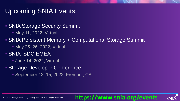## Upcoming SNIA Events

### **BISTUA Storage Security Summit**

**• May 11, 2022; Virtual** 

### ■ SNIA Persistent Memory + Computational Storage Summit

- **May 25–26, 2022; Virtual**
- SNIA SDC EMEA
	- **June 14, 2022; Virtual**
- Storage Developer Conference
	- **E** September 12–15, 2022; Fremont, CA

### **https://www.snia.org/events**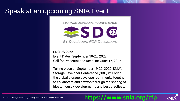## Speak at an upcoming SNIA Event

STORAGE DEVELOPER CONFERENCE



**BY Developers FOR Developers** 

**SDC US 2022** 

Event Dates: September 19-22, 2022 Call for Presentations Deadline: June 17, 2022

Taking place on September 19-22, 2022, SNIA's Storage Developer Conference (SDC) will bring the global storage developer community together to collaborate and network through the sharing of ideas, industry developments and best practices.

### **https://www.snia.org/cfp**